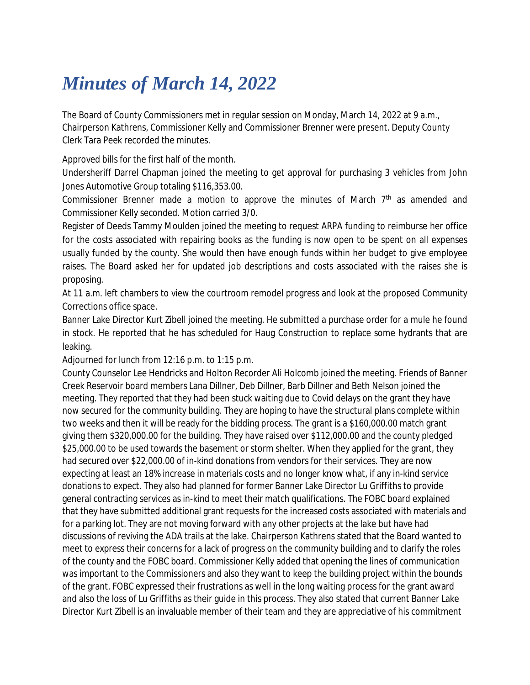## *Minutes of March 14, 2022*

The Board of County Commissioners met in regular session on Monday, March 14, 2022 at 9 a.m., Chairperson Kathrens, Commissioner Kelly and Commissioner Brenner were present. Deputy County Clerk Tara Peek recorded the minutes.

Approved bills for the first half of the month.

Undersheriff Darrel Chapman joined the meeting to get approval for purchasing 3 vehicles from John Jones Automotive Group totaling \$116,353.00.

Commissioner Brenner made a motion to approve the minutes of March 7<sup>th</sup> as amended and Commissioner Kelly seconded. Motion carried 3/0.

Register of Deeds Tammy Moulden joined the meeting to request ARPA funding to reimburse her office for the costs associated with repairing books as the funding is now open to be spent on all expenses usually funded by the county. She would then have enough funds within her budget to give employee raises. The Board asked her for updated job descriptions and costs associated with the raises she is proposing.

At 11 a.m. left chambers to view the courtroom remodel progress and look at the proposed Community Corrections office space.

Banner Lake Director Kurt Zibell joined the meeting. He submitted a purchase order for a mule he found in stock. He reported that he has scheduled for Haug Construction to replace some hydrants that are leaking.

Adjourned for lunch from 12:16 p.m. to 1:15 p.m.

County Counselor Lee Hendricks and Holton Recorder Ali Holcomb joined the meeting. Friends of Banner Creek Reservoir board members Lana Dillner, Deb Dillner, Barb Dillner and Beth Nelson joined the meeting. They reported that they had been stuck waiting due to Covid delays on the grant they have now secured for the community building. They are hoping to have the structural plans complete within two weeks and then it will be ready for the bidding process. The grant is a \$160,000.00 match grant giving them \$320,000.00 for the building. They have raised over \$112,000.00 and the county pledged \$25,000.00 to be used towards the basement or storm shelter. When they applied for the grant, they had secured over \$22,000.00 of in-kind donations from vendors for their services. They are now expecting at least an 18% increase in materials costs and no longer know what, if any in-kind service donations to expect. They also had planned for former Banner Lake Director Lu Griffiths to provide general contracting services as in-kind to meet their match qualifications. The FOBC board explained that they have submitted additional grant requests for the increased costs associated with materials and for a parking lot. They are not moving forward with any other projects at the lake but have had discussions of reviving the ADA trails at the lake. Chairperson Kathrens stated that the Board wanted to meet to express their concerns for a lack of progress on the community building and to clarify the roles of the county and the FOBC board. Commissioner Kelly added that opening the lines of communication was important to the Commissioners and also they want to keep the building project within the bounds of the grant. FOBC expressed their frustrations as well in the long waiting process for the grant award and also the loss of Lu Griffiths as their guide in this process. They also stated that current Banner Lake Director Kurt Zibell is an invaluable member of their team and they are appreciative of his commitment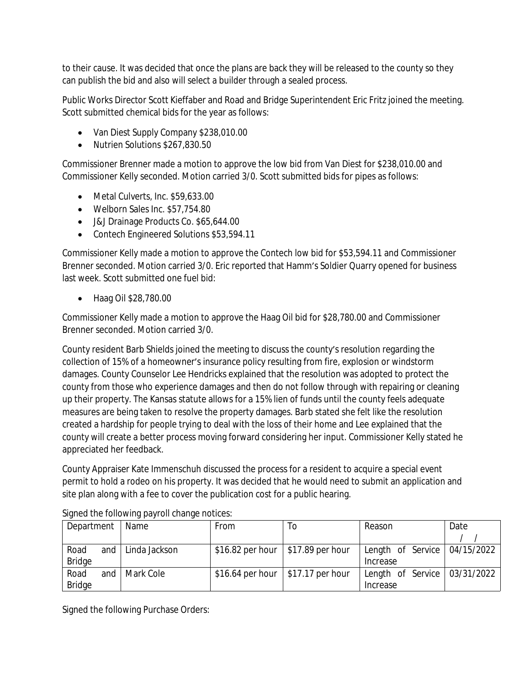to their cause. It was decided that once the plans are back they will be released to the county so they can publish the bid and also will select a builder through a sealed process.

Public Works Director Scott Kieffaber and Road and Bridge Superintendent Eric Fritz joined the meeting. Scott submitted chemical bids for the year as follows:

- Van Diest Supply Company \$238,010.00
- Nutrien Solutions \$267,830.50

Commissioner Brenner made a motion to approve the low bid from Van Diest for \$238,010.00 and Commissioner Kelly seconded. Motion carried 3/0. Scott submitted bids for pipes as follows:

- Metal Culverts, Inc. \$59,633.00
- Welborn Sales Inc. \$57,754.80
- J&J Drainage Products Co. \$65,644.00
- Contech Engineered Solutions \$53,594.11

Commissioner Kelly made a motion to approve the Contech low bid for \$53,594.11 and Commissioner Brenner seconded. Motion carried 3/0. Eric reported that Hamm's Soldier Quarry opened for business last week. Scott submitted one fuel bid:

Haag Oil \$28,780.00

Commissioner Kelly made a motion to approve the Haag Oil bid for \$28,780.00 and Commissioner Brenner seconded. Motion carried 3/0.

County resident Barb Shields joined the meeting to discuss the county's resolution regarding the collection of 15% of a homeowner's insurance policy resulting from fire, explosion or windstorm damages. County Counselor Lee Hendricks explained that the resolution was adopted to protect the county from those who experience damages and then do not follow through with repairing or cleaning up their property. The Kansas statute allows for a 15% lien of funds until the county feels adequate measures are being taken to resolve the property damages. Barb stated she felt like the resolution created a hardship for people trying to deal with the loss of their home and Lee explained that the county will create a better process moving forward considering her input. Commissioner Kelly stated he appreciated her feedback.

County Appraiser Kate Immenschuh discussed the process for a resident to acquire a special event permit to hold a rodeo on his property. It was decided that he would need to submit an application and site plan along with a fee to cover the publication cost for a public hearing.

| Department    | Name          | <b>From</b> | 10                                   | Reason                                       | Date |
|---------------|---------------|-------------|--------------------------------------|----------------------------------------------|------|
|               |               |             |                                      |                                              |      |
| Road<br>and   | Linda Jackson |             | $$16.82$ per hour   \$17.89 per hour | Length of Service $ 04/15/2022 $             |      |
| <b>Bridge</b> |               |             |                                      | Increase                                     |      |
| Road<br>and   | Mark Cole     |             | $$16.64$ per hour $ $17.17$ per hour | Length of Service $\vert$ 03/31/2022 $\vert$ |      |
| <b>Bridge</b> |               |             |                                      | Increase                                     |      |

Signed the following payroll change notices:

Signed the following Purchase Orders: